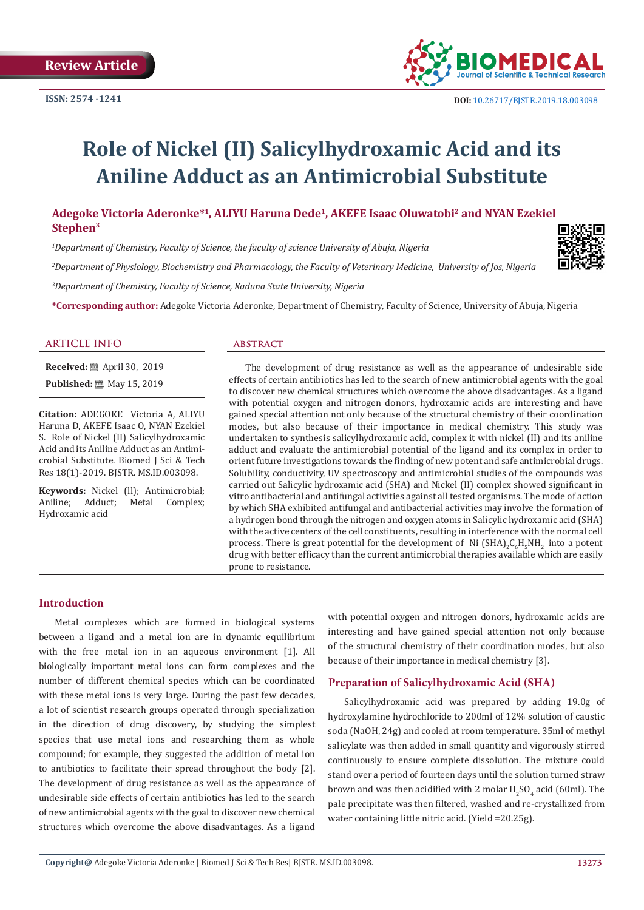

# **Role of Nickel (II) Salicylhydroxamic Acid and its Aniline Adduct as an Antimicrobial Substitute**

**Adegoke Victoria Aderonke\*1, ALIYU Haruna Dede1, AKEFE Isaac Oluwatobi2 and NYAN Ezekiel Stephen3**

*1 Department of Chemistry, Faculty of Science, the faculty of science University of Abuja, Nigeria*

*2 Department of Physiology, Biochemistry and Pharmacology, the Faculty of Veterinary Medicine, University of Jos, Nigeria*

*3 Department of Chemistry, Faculty of Science, Kaduna State University, Nigeria*

**\*Corresponding author:** Adegoke Victoria Aderonke, Department of Chemistry, Faculty of Science, University of Abuja, Nigeria

#### **ARTICLE INFO abstract**

**Received:** April 30, 2019

**Published:** ■ May 15, 2019

**Citation:** ADEGOKE Victoria A, ALIYU Haruna D, AKEFE Isaac O, NYAN Ezekiel S. Role of Nickel (II) Salicylhydroxamic Acid and its Aniline Adduct as an Antimicrobial Substitute. Biomed J Sci & Tech Res 18(1)-2019. BJSTR. MS.ID.003098.

**Keywords:** Nickel (ll); Antimicrobial; Aniline; Adduct; Metal Complex; Metal Complex; Hydroxamic acid

The development of drug resistance as well as the appearance of undesirable side effects of certain antibiotics has led to the search of new antimicrobial agents with the goal to discover new chemical structures which overcome the above disadvantages. As a ligand with potential oxygen and nitrogen donors, hydroxamic acids are interesting and have gained special attention not only because of the structural chemistry of their coordination modes, but also because of their importance in medical chemistry. This study was undertaken to synthesis salicylhydroxamic acid, complex it with nickel (II) and its aniline adduct and evaluate the antimicrobial potential of the ligand and its complex in order to orient future investigations towards the finding of new potent and safe antimicrobial drugs. Solubility, conductivity, UV spectroscopy and antimicrobial studies of the compounds was carried out Salicylic hydroxamic acid (SHA) and Nickel (II) complex showed significant in vitro antibacterial and antifungal activities against all tested organisms. The mode of action by which SHA exhibited antifungal and antibacterial activities may involve the formation of a hydrogen bond through the nitrogen and oxygen atoms in Salicylic hydroxamic acid (SHA) with the active centers of the cell constituents, resulting in interference with the normal cell process. There is great potential for the development of  $N$ i (SHA) $_2$ C $_6$ H $_5$ NH $_2$  into a potent drug with better efficacy than the current antimicrobial therapies available which are easily prone to resistance.

#### **Introduction**

Metal complexes which are formed in biological systems between a ligand and a metal ion are in dynamic equilibrium with the free metal ion in an aqueous environment [1]. All biologically important metal ions can form complexes and the number of different chemical species which can be coordinated with these metal ions is very large. During the past few decades, a lot of scientist research groups operated through specialization in the direction of drug discovery, by studying the simplest species that use metal ions and researching them as whole compound; for example, they suggested the addition of metal ion to antibiotics to facilitate their spread throughout the body [2]. The development of drug resistance as well as the appearance of undesirable side effects of certain antibiotics has led to the search of new antimicrobial agents with the goal to discover new chemical structures which overcome the above disadvantages. As a ligand

with potential oxygen and nitrogen donors, hydroxamic acids are interesting and have gained special attention not only because of the structural chemistry of their coordination modes, but also because of their importance in medical chemistry [3].

#### **Preparation of Salicylhydroxamic Acid (SHA)**

Salicylhydroxamic acid was prepared by adding 19.0g of hydroxylamine hydrochloride to 200ml of 12% solution of caustic soda (NaOH, 24g) and cooled at room temperature. 35ml of methyl salicylate was then added in small quantity and vigorously stirred continuously to ensure complete dissolution. The mixture could stand over a period of fourteen days until the solution turned straw brown and was then acidified with 2 molar  $H_2SO_4$  acid (60ml). The pale precipitate was then filtered, washed and re-crystallized from water containing little nitric acid. (Yield =20.25g).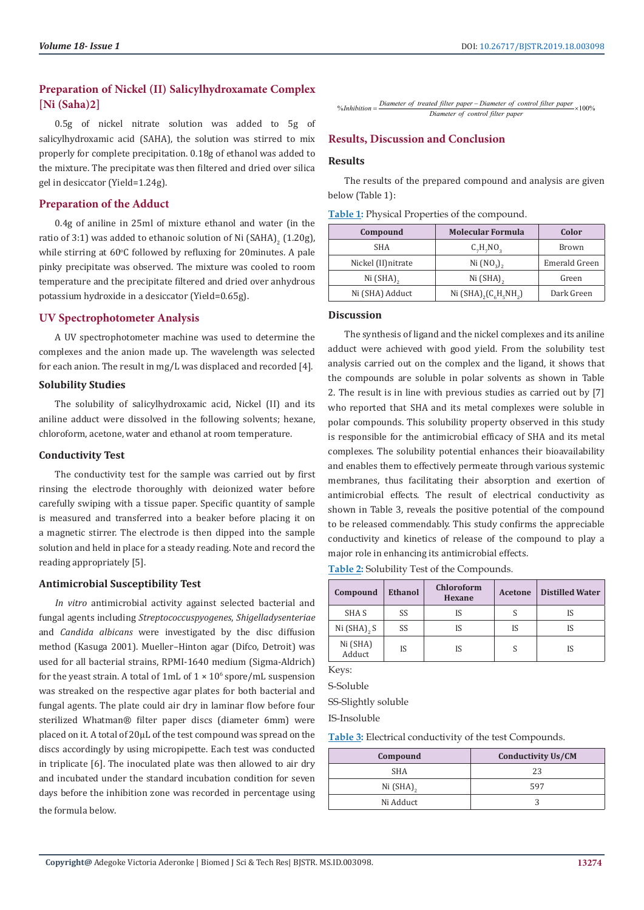#### **Preparation of Nickel (II) Salicylhydroxamate Complex [Ni (Saha)2]**

0.5g of nickel nitrate solution was added to 5g of salicylhydroxamic acid (SAHA), the solution was stirred to mix properly for complete precipitation. 0.18g of ethanol was added to the mixture. The precipitate was then filtered and dried over silica gel in desiccator (Yield=1.24g).

#### **Preparation of the Adduct**

0.4g of aniline in 25ml of mixture ethanol and water (in the ratio of 3:1) was added to ethanoic solution of Ni  $(SAHA)_{2}$  (1.20g), while stirring at  $60^{\circ}$ C followed by refluxing for 20 $m$ inutes. A pale pinky precipitate was observed. The mixture was cooled to room temperature and the precipitate filtered and dried over anhydrous potassium hydroxide in a desiccator (Yield=0.65g).

#### **UV Spectrophotometer Analysis**

A UV spectrophotometer machine was used to determine the complexes and the anion made up. The wavelength was selected for each anion. The result in mg/L was displaced and recorded [4].

#### **Solubility Studies**

The solubility of salicylhydroxamic acid, Nickel (II) and its aniline adduct were dissolved in the following solvents; hexane, chloroform, acetone, water and ethanol at room temperature.

#### **Conductivity Test**

The conductivity test for the sample was carried out by first rinsing the electrode thoroughly with deionized water before carefully swiping with a tissue paper. Specific quantity of sample is measured and transferred into a beaker before placing it on a magnetic stirrer. The electrode is then dipped into the sample solution and held in place for a steady reading. Note and record the reading appropriately [5].

#### **Antimicrobial Susceptibility Test**

*In vitro* antimicrobial activity against selected bacterial and fungal agents including *Streptococcuspyogenes*, *Shigelladysenteriae*  and *Candida albicans* were investigated by the disc diffusion method (Kasuga 2001). Mueller–Hinton agar (Difco, Detroit) was used for all bacterial strains, RPMI-1640 medium (Sigma-Aldrich) for the yeast strain. A total of 1mL of  $1 \times 10^6$  spore/mL suspension was streaked on the respective agar plates for both bacterial and fungal agents. The plate could air dry in laminar flow before four sterilized Whatman® filter paper discs (diameter 6mm) were placed on it. A total of 20μL of the test compound was spread on the discs accordingly by using micropipette. Each test was conducted in triplicate [6]. The inoculated plate was then allowed to air dry and incubated under the standard incubation condition for seven days before the inhibition zone was recorded in percentage using the formula below.

% 100 % *Diameter of treated filter paper Diameter of c Inhibiti ontrol filter paper Diameter of control filter p <sup>o</sup> aper <sup>n</sup>* <sup>=</sup> <sup>×</sup> <sup>−</sup>

## **Results, Discussion and Conclusion**

#### **Results**

The results of the prepared compound and analysis are given below (Table 1):

|  |  |  | <b>Table 1:</b> Physical Properties of the compound. |
|--|--|--|------------------------------------------------------|
|--|--|--|------------------------------------------------------|

| Compound            | <b>Molecular Formula</b>           | Color         |
|---------------------|------------------------------------|---------------|
| <b>SHA</b>          | $C_7H_7NO_2$                       | Brown         |
| Nickel (II) nitrate | Ni (NO <sub>2</sub> ) <sub>2</sub> | Emerald Green |
| $Ni (SHA)_{2}$      | $Ni(SHA)$ <sub>2</sub>             | Green         |
| Ni (SHA) Adduct     | Ni $(SHA)_{2}(C_{6}H_{5}NH_{2})$   | Dark Green    |

#### **Discussion**

The synthesis of ligand and the nickel complexes and its aniline adduct were achieved with good yield. From the solubility test analysis carried out on the complex and the ligand, it shows that the compounds are soluble in polar solvents as shown in Table 2. The result is in line with previous studies as carried out by [7] who reported that SHA and its metal complexes were soluble in polar compounds. This solubility property observed in this study is responsible for the antimicrobial efficacy of SHA and its metal complexes. The solubility potential enhances their bioavailability and enables them to effectively permeate through various systemic membranes, thus facilitating their absorption and exertion of antimicrobial effects. The result of electrical conductivity as shown in Table 3, reveals the positive potential of the compound to be released commendably. This study confirms the appreciable conductivity and kinetics of release of the compound to play a major role in enhancing its antimicrobial effects.

**Table 2:** Solubility Test of the Compounds.

| Compound           | <b>Ethanol</b> | <b>Chloroform</b><br>Hexane | Acetone | <b>Distilled Water</b> |
|--------------------|----------------|-----------------------------|---------|------------------------|
| SHA S              | SS             | IS                          |         |                        |
| Ni $(SHA)$ , S     | SS             | IS                          | IS      |                        |
| Ni (SHA)<br>Adduct | IS             | IS                          |         | IS                     |

Keys:

S-Soluble

SS-Slightly soluble

IS-Insoluble

**Table 3:** Electrical conductivity of the test Compounds.

| Compound       | <b>Conductivity Us/CM</b> |  |
|----------------|---------------------------|--|
| <b>SHA</b>     | 23                        |  |
| Ni $(SHA)_{2}$ | 597                       |  |
| Ni Adduct      |                           |  |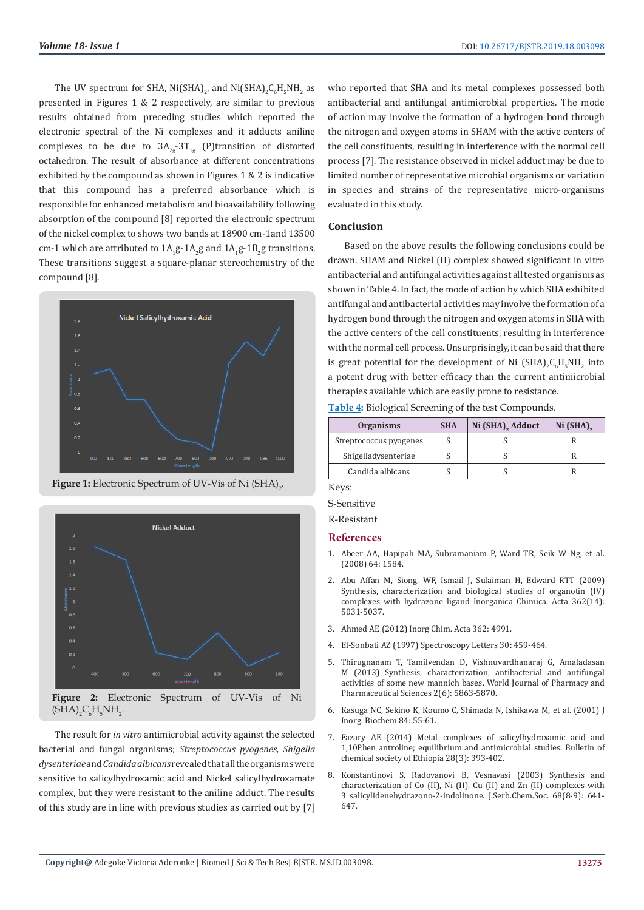The UV spectrum for SHA,  $Ni(SHA)_{2'}$  and  $Ni(SHA)_{2}C_{6}H_{5}NH_{2}$  as presented in Figures 1 & 2 respectively, are similar to previous results obtained from preceding studies which reported the electronic spectral of the Ni complexes and it adducts aniline complexes to be due to  $3A_{2g}$ -3T<sub>1g</sub> (P)transition of distorted octahedron. The result of absorbance at different concentrations exhibited by the compound as shown in Figures 1 & 2 is indicative that this compound has a preferred absorbance which is responsible for enhanced metabolism and bioavailability following absorption of the compound [8] reported the electronic spectrum of the nickel complex to shows two bands at 18900 cm-1and 13500 cm-1 which are attributed to  $1A_1g-1A_2g$  and  $1A_1g-1B_2g$  transitions. These transitions suggest a square-planar stereochemistry of the compound [8].



**Figure 1:** Electronic Spectrum of UV-Vis of Ni (SHA)<sub>2</sub>.



The result for *in vitro* antimicrobial activity against the selected bacterial and fungal organisms; *Streptococcus pyogenes, Shigella dysenteriae* and *Candida albicans* revealed that all the organisms were sensitive to salicylhydroxamic acid and Nickel salicylhydroxamate complex, but they were resistant to the aniline adduct. The results of this study are in line with previous studies as carried out by [7]

who reported that SHA and its metal complexes possessed both antibacterial and antifungal antimicrobial properties. The mode of action may involve the formation of a hydrogen bond through the nitrogen and oxygen atoms in SHAM with the active centers of the cell constituents, resulting in interference with the normal cell process [7]. The resistance observed in nickel adduct may be due to limited number of representative microbial organisms or variation in species and strains of the representative micro-organisms evaluated in this study.

#### **Conclusion**

Based on the above results the following conclusions could be drawn. SHAM and Nickel (II) complex showed significant in vitro antibacterial and antifungal activities against all tested organisms as shown in Table 4. In fact, the mode of action by which SHA exhibited antifungal and antibacterial activities may involve the formation of a hydrogen bond through the nitrogen and oxygen atoms in SHA with the active centers of the cell constituents, resulting in interference with the normal cell process. Unsurprisingly, it can be said that there is great potential for the development of Ni  $(SHA)_2C_6H_5NH_2$  into a potent drug with better efficacy than the current antimicrobial therapies available which are easily prone to resistance.

**Table 4:** Biological Screening of the test Compounds.

| <b>Organisms</b>       | <b>SHA</b> | Ni (SHA) <sub>2</sub> Adduct | $Ni (SHA)$ <sub>2</sub> |
|------------------------|------------|------------------------------|-------------------------|
| Streptococcus pyogenes |            |                              |                         |
| Shigelladysenteriae    |            |                              |                         |
| Candida albicans       |            |                              |                         |

Keys:

S-Sensitive

R-Resistant

#### **References**

- 1. Abeer AA, Hapipah MA, Subramaniam P, Ward TR, Seik W Ng, et al. (2008) 64: 1584.
- 2. [Abu Affan M, Siong, WF, Ismail J, Sulaiman H, Edward RTT \(2009\)](https://www.researchgate.net/publication/229143670_Synthesis_characterization_and_biological_studies_of_organotinIV_complexes_with_hydrazone_ligand) [Synthesis, characterization and biological studies of organotin \(IV\)](https://www.researchgate.net/publication/229143670_Synthesis_characterization_and_biological_studies_of_organotinIV_complexes_with_hydrazone_ligand) [complexes with hydrazone ligand Inorganica Chimica. Acta 362\(14\):](https://www.researchgate.net/publication/229143670_Synthesis_characterization_and_biological_studies_of_organotinIV_complexes_with_hydrazone_ligand) [5031-5037.](https://www.researchgate.net/publication/229143670_Synthesis_characterization_and_biological_studies_of_organotinIV_complexes_with_hydrazone_ligand)
- 3. Ahmed AE (2012) Inorg Chim. Acta 362: 4991.
- 4. El-Sonbati AZ (1997) Spectroscopy Letters 30**:** 459-464.
- 5. Thirugnanam T, Tamilvendan D, Vishnuvardhanaraj G, Amaladasan M (2013) Synthesis, characterization, antibacterial and antifungal activities of some new mannich bases. World Journal of Pharmacy and Pharmaceutical Sciences 2(6): 5863-5870.
- 6. Kasuga NC, Sekino K, Koumo C, Shimada N, Ishikawa M, et al. (2001) J Inorg. Biochem 84: 55-61.
- 7. [Fazary AE \(2014\) Metal complexes of salicylhydroxamic acid and](https://www.ajol.info/index.php/bcse/article/view/108083) [1,10Phen antroline; equilibrium and antimicrobial studies. Bulletin of](https://www.ajol.info/index.php/bcse/article/view/108083) [chemical society of Ethiopia 28\(3\): 393-402.](https://www.ajol.info/index.php/bcse/article/view/108083)
- 8. [Konstantinovi S, Radovanovi B, Vesnavasi \(2003\) Synthesis and](https://www.shd.org.rs/JSCS/Vol68/No8-9/V68-No8_9-05.pdf) [characterization of Co \(II\), Ni \(II\), Cu \(II\) and Zn \(II\) complexes with](https://www.shd.org.rs/JSCS/Vol68/No8-9/V68-No8_9-05.pdf) [3 salicylidenehydrazono-2-indolinone. J.Serb.Chem.Soc. 68\(8-9\): 641-](https://www.shd.org.rs/JSCS/Vol68/No8-9/V68-No8_9-05.pdf) [647.](https://www.shd.org.rs/JSCS/Vol68/No8-9/V68-No8_9-05.pdf)